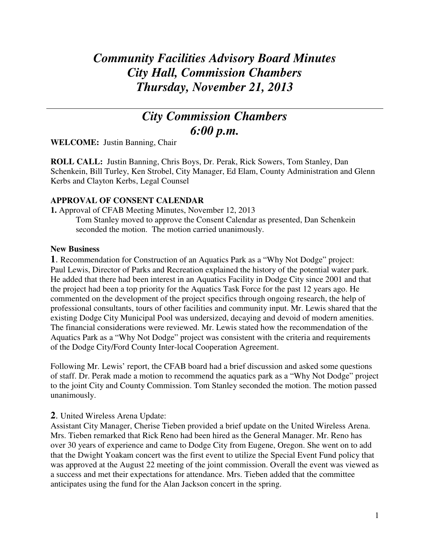# *Community Facilities Advisory Board Minutes City Hall, Commission Chambers Thursday, November 21, 2013*

## *City Commission Chambers 6:00 p.m.*

**WELCOME:** Justin Banning, Chair

**ROLL CALL:** Justin Banning, Chris Boys, Dr. Perak, Rick Sowers, Tom Stanley, Dan Schenkein, Bill Turley, Ken Strobel, City Manager, Ed Elam, County Administration and Glenn Kerbs and Clayton Kerbs, Legal Counsel

#### **APPROVAL OF CONSENT CALENDAR**

**1.** Approval of CFAB Meeting Minutes, November 12, 2013 Tom Stanley moved to approve the Consent Calendar as presented, Dan Schenkein seconded the motion. The motion carried unanimously.

#### **New Business**

**1**. Recommendation for Construction of an Aquatics Park as a "Why Not Dodge" project: Paul Lewis, Director of Parks and Recreation explained the history of the potential water park. He added that there had been interest in an Aquatics Facility in Dodge City since 2001 and that the project had been a top priority for the Aquatics Task Force for the past 12 years ago. He commented on the development of the project specifics through ongoing research, the help of professional consultants, tours of other facilities and community input. Mr. Lewis shared that the existing Dodge City Municipal Pool was undersized, decaying and devoid of modern amenities. The financial considerations were reviewed. Mr. Lewis stated how the recommendation of the Aquatics Park as a "Why Not Dodge" project was consistent with the criteria and requirements of the Dodge City/Ford County Inter-local Cooperation Agreement.

Following Mr. Lewis' report, the CFAB board had a brief discussion and asked some questions of staff. Dr. Perak made a motion to recommend the aquatics park as a "Why Not Dodge" project to the joint City and County Commission. Tom Stanley seconded the motion. The motion passed unanimously.

## **2**. United Wireless Arena Update:

Assistant City Manager, Cherise Tieben provided a brief update on the United Wireless Arena. Mrs. Tieben remarked that Rick Reno had been hired as the General Manager. Mr. Reno has over 30 years of experience and came to Dodge City from Eugene, Oregon. She went on to add that the Dwight Yoakam concert was the first event to utilize the Special Event Fund policy that was approved at the August 22 meeting of the joint commission. Overall the event was viewed as a success and met their expectations for attendance. Mrs. Tieben added that the committee anticipates using the fund for the Alan Jackson concert in the spring.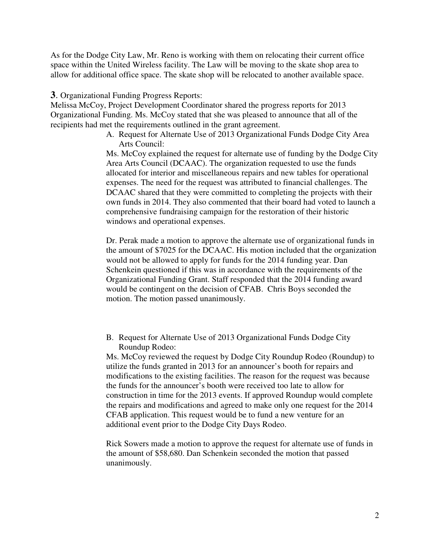As for the Dodge City Law, Mr. Reno is working with them on relocating their current office space within the United Wireless facility. The Law will be moving to the skate shop area to allow for additional office space. The skate shop will be relocated to another available space.

**3**. Organizational Funding Progress Reports:

Melissa McCoy, Project Development Coordinator shared the progress reports for 2013 Organizational Funding. Ms. McCoy stated that she was pleased to announce that all of the recipients had met the requirements outlined in the grant agreement.

> A. Request for Alternate Use of 2013 Organizational Funds Dodge City Area Arts Council:

Ms. McCoy explained the request for alternate use of funding by the Dodge City Area Arts Council (DCAAC). The organization requested to use the funds allocated for interior and miscellaneous repairs and new tables for operational expenses. The need for the request was attributed to financial challenges. The DCAAC shared that they were committed to completing the projects with their own funds in 2014. They also commented that their board had voted to launch a comprehensive fundraising campaign for the restoration of their historic windows and operational expenses.

Dr. Perak made a motion to approve the alternate use of organizational funds in the amount of \$7025 for the DCAAC. His motion included that the organization would not be allowed to apply for funds for the 2014 funding year. Dan Schenkein questioned if this was in accordance with the requirements of the Organizational Funding Grant. Staff responded that the 2014 funding award would be contingent on the decision of CFAB. Chris Boys seconded the motion. The motion passed unanimously.

B. Request for Alternate Use of 2013 Organizational Funds Dodge City Roundup Rodeo:

Ms. McCoy reviewed the request by Dodge City Roundup Rodeo (Roundup) to utilize the funds granted in 2013 for an announcer's booth for repairs and modifications to the existing facilities. The reason for the request was because the funds for the announcer's booth were received too late to allow for construction in time for the 2013 events. If approved Roundup would complete the repairs and modifications and agreed to make only one request for the 2014 CFAB application. This request would be to fund a new venture for an additional event prior to the Dodge City Days Rodeo.

Rick Sowers made a motion to approve the request for alternate use of funds in the amount of \$58,680. Dan Schenkein seconded the motion that passed unanimously.